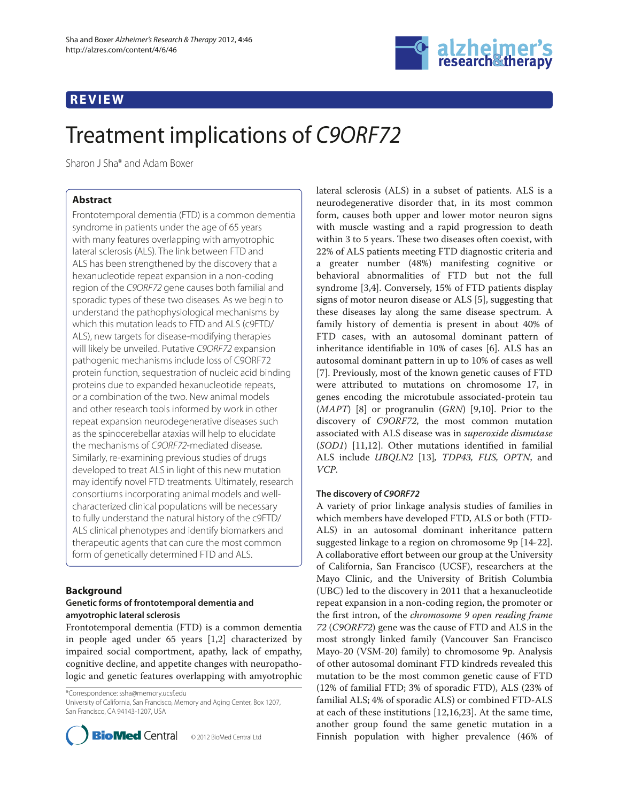# **REVIEW**



# Treatment implications of C9ORF72

Sharon J Sha\* and Adam Boxer

# **Abstract**

Frontotemporal dementia (FTD) is a common dementia syndrome in patients under the age of 65 years with many features overlapping with amyotrophic lateral sclerosis (ALS). The link between FTD and ALS has been strengthened by the discovery that a hexanucleotide repeat expansion in a non-coding region of the C9ORF72 gene causes both familial and sporadic types of these two diseases. As we begin to understand the pathophysiological mechanisms by which this mutation leads to FTD and ALS (c9FTD/ ALS), new targets for disease-modifying therapies will likely be unveiled. Putative C9ORF72 expansion pathogenic mechanisms include loss of C9ORF72 protein function, sequestration of nucleic acid binding proteins due to expanded hexanucleotide repeats, or a combination of the two. New animal models and other research tools informed by work in other repeat expansion neurodegenerative diseases such as the spinocerebellar ataxias will help to elucidate the mechanisms of C9ORF72-mediated disease. Similarly, re-examining previous studies of drugs developed to treat ALS in light of this new mutation may identify novel FTD treatments. Ultimately, research consortiums incorporating animal models and wellcharacterized clinical populations will be necessary to fully understand the natural history of the c9FTD/ ALS clinical phenotypes and identify biomarkers and therapeutic agents that can cure the most common form of genetically determined FTD and ALS.

# **Background**

## **Genetic forms of frontotemporal dementia and amyotrophic lateral sclerosis**

Frontotemporal dementia (FTD) is a common dementia in people aged under 65 years [1,2] characterized by impaired social comportment, apathy, lack of empathy, cognitive decline, and appetite changes with neuropathologic and genetic features overlapping with amyotrophic

\*Correspondence: ssha@memory.ucsf.edu

University of California, San Francisco, Memory and Aging Center, Box 1207, San Francisco, CA 94143-1207, USA



© 2012 BioMed Central Ltd

lateral sclerosis (ALS) in a subset of patients. ALS is a neurodegenerative disorder that, in its most common form, causes both upper and lower motor neuron signs with muscle wasting and a rapid progression to death within 3 to 5 years. These two diseases often coexist, with 22% of ALS patients meeting FTD diagnostic criteria and a greater number (48%) manifesting cognitive or behavioral abnormalities of FTD but not the full syndrome [3,4]. Conversely, 15% of FTD patients display signs of motor neuron disease or ALS [5], suggesting that these diseases lay along the same disease spectrum. A family history of dementia is present in about 40% of FTD cases, with an autosomal dominant pattern of inheritance identifiable in 10% of cases [6]. ALS has an autosomal dominant pattern in up to 10% of cases as well [7]. Previously, most of the known genetic causes of FTD were attributed to mutations on chromosome 17, in genes encoding the microtubule associated-protein tau (*MAPT*) [8] or progranulin (*GRN*) [9,10]. Prior to the discovery of *C9ORF72*, the most common mutation associated with ALS disease was in *superoxide dismutase* (*SOD1*) [11,12]. Other mutations identified in familial ALS include *UBQLN2* [13]*, TDP43, FUS, OPTN*, and *VCP*.

# **The discovery of** *C9ORF72*

A variety of prior linkage analysis studies of families in which members have developed FTD, ALS or both (FTD-ALS) in an autosomal dominant inheritance pattern suggested linkage to a region on chromosome 9p [14-22]. A collaborative effort between our group at the University of California, San Francisco (UCSF), researchers at the Mayo Clinic, and the University of British Columbia (UBC) led to the discovery in 2011 that a hexanucleotide repeat expansion in a non-coding region, the promoter or the first intron, of the *chromosome* 9 open reading frame *72* (*C9ORF72*) gene was the cause of FTD and ALS in the most strongly linked family (Vancouver San Francisco Mayo-20 (VSM-20) family) to chromosome 9p. Analysis of other autosomal dominant FTD kindreds revealed this mutation to be the most common genetic cause of FTD (12% of familial FTD; 3% of sporadic FTD), ALS (23% of familial ALS; 4% of sporadic ALS) or combined FTD-ALS at each of these institutions [12,16,23]. At the same time, another group found the same genetic mutation in a Finnish population with higher prevalence (46% of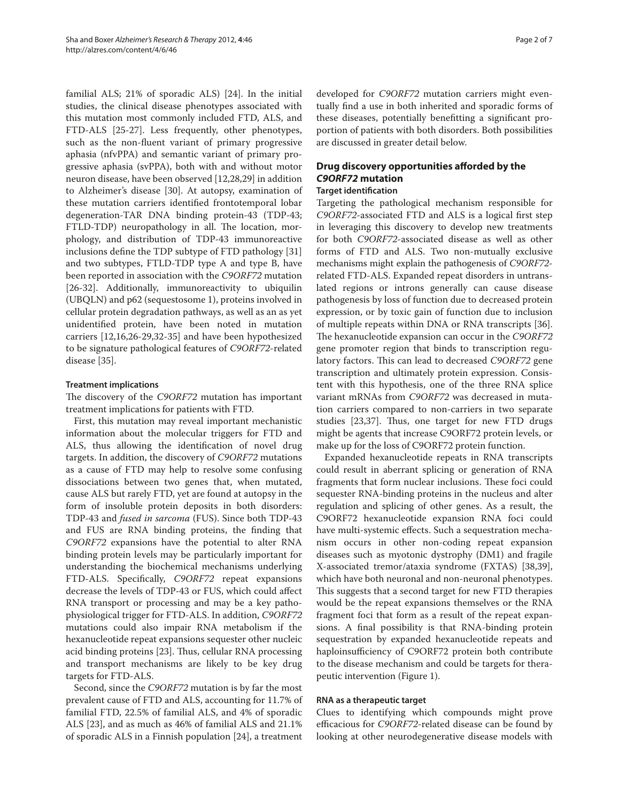familial ALS; 21% of sporadic ALS) [24]. In the initial studies, the clinical disease phenotypes associated with this mutation most commonly included FTD, ALS, and FTD-ALS [25-27]. Less frequently, other phenotypes, such as the non-fluent variant of primary progressive aphasia (nfvPPA) and semantic variant of primary progressive aphasia (svPPA), both with and without motor neuron disease, have been observed [12,28,29] in addition to Alzheimer's disease [30]. At autopsy, examination of these mutation carriers identified frontotemporal lobar degeneration-TAR DNA binding protein-43 (TDP-43; FTLD-TDP) neuropathology in all. The location, morphology, and distribution of TDP-43 immunoreactive inclusions define the TDP subtype of FTD pathology [31] and two subtypes, FTLD-TDP type A and type B, have been reported in association with the *C9ORF72* mutation [26-32]. Additionally, immunoreactivity to ubiquilin (UBQLN) and p62 (sequestosome 1), proteins involved in cellular protein degradation pathways, as well as an as yet unidentified protein, have been noted in mutation carriers [12,16,26-29,32-35] and have been hypothesized to be signature pathological features of *C9ORF72*-related disease [35].

## **Treatment implications**

The discovery of the *C9ORF72* mutation has important treatment implications for patients with FTD.

First, this mutation may reveal important mechanistic information about the molecular triggers for FTD and ALS, thus allowing the identification of novel drug targets. In addition, the discovery of *C9ORF72* mutations as a cause of FTD may help to resolve some confusing dissociations between two genes that, when mutated, cause ALS but rarely FTD, yet are found at autopsy in the form of insoluble protein deposits in both disorders: TDP-43 and *fused in sarcoma* (FUS). Since both TDP-43 and FUS are RNA binding proteins, the finding that *C9ORF72* expansions have the potential to alter RNA binding protein levels may be particularly important for understanding the biochemical mechanisms underlying FTD-ALS. Specifically, *C9ORF72* repeat expansions decrease the levels of TDP-43 or FUS, which could affect RNA transport or processing and may be a key pathophysiological trigger for FTD-ALS. In addition, *C9ORF72* mutations could also impair RNA metabolism if the hexanucleotide repeat expansions sequester other nucleic acid binding proteins [23]. Thus, cellular RNA processing and transport mechanisms are likely to be key drug targets for FTD-ALS.

Second, since the *C9ORF72* mutation is by far the most prevalent cause of FTD and ALS, accounting for 11.7% of familial FTD, 22.5% of familial ALS, and 4% of sporadic ALS [23], and as much as 46% of familial ALS and 21.1% of sporadic ALS in a Finnish population [24], a treatment developed for *C9ORF72* mutation carriers might eventually find a use in both inherited and sporadic forms of these diseases, potentially benefitting a significant proportion of patients with both disorders. Both possibilities are discussed in greater detail below.

# **Drug discovery opportunities afforded by the** *C9ORF72* **mutation**

# **Target identification**

Targeting the pathological mechanism responsible for *C9ORF72*-associated FTD and ALS is a logical first step in leveraging this discovery to develop new treatments for both *C9ORF72*-associated disease as well as other forms of FTD and ALS. Two non-mutually exclusive mechanisms might explain the pathogenesis of *C9ORF72*related FTD-ALS. Expanded repeat disorders in untranslated regions or introns generally can cause disease pathogenesis by loss of function due to decreased protein expression, or by toxic gain of function due to inclusion of multiple repeats within DNA or RNA transcripts [36]. The hexanucleotide expansion can occur in the *C9ORF72* gene promoter region that binds to transcription regulatory factors. This can lead to decreased *C9ORF72* gene transcription and ultimately protein expression. Consistent with this hypothesis, one of the three RNA splice variant mRNAs from *C9ORF72* was decreased in mutation carriers compared to non-carriers in two separate studies [23,37]. Thus, one target for new FTD drugs might be agents that increase C9ORF72 protein levels, or make up for the loss of C9ORF72 protein function.

Expanded hexanucleotide repeats in RNA transcripts could result in aberrant splicing or generation of RNA fragments that form nuclear inclusions. These foci could sequester RNA-binding proteins in the nucleus and alter regulation and splicing of other genes. As a result, the C9ORF72 hexanucleotide expansion RNA foci could have multi-systemic effects. Such a sequestration mechanism occurs in other non-coding repeat expansion diseases such as myotonic dystrophy (DM1) and fragile X-associated tremor/ataxia syndrome (FXTAS) [38,39], which have both neuronal and non-neuronal phenotypes. This suggests that a second target for new FTD therapies would be the repeat expansions themselves or the RNA fragment foci that form as a result of the repeat expansions. A final possibility is that RNA-binding protein sequestration by expanded hexanucleotide repeats and haploinsufficiency of C9ORF72 protein both contribute to the disease mechanism and could be targets for therapeutic intervention (Figure 1).

## **RNA as a therapeutic target**

Clues to identifying which compounds might prove efficacious for *C9ORF72*-related disease can be found by looking at other neurodegenerative disease models with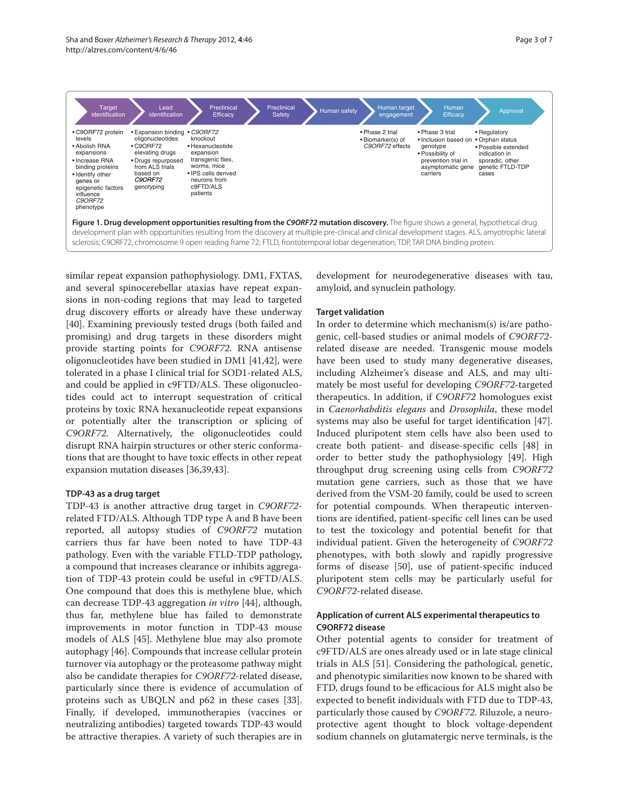

similar repeat expansion pathophysiology. DM1, FXTAS, and several spinocerebellar ataxias have repeat expansions in non-coding regions that may lead to targeted drug discovery efforts or already have these underway [40]. Examining previously tested drugs (both failed and promising) and drug targets in these disorders might provide starting points for *C9ORF72*. RNA antisense oligonucleotides have been studied in DM1 [41,42], were tolerated in a phase I clinical trial for SOD1-related ALS, and could be applied in c9FTD/ALS. These oligonucleotides could act to interrupt sequestration of critical proteins by toxic RNA hexanucleotide repeat expansions or potentially alter the transcription or splicing of *C9ORF72*. Alternatively, the oligonucleotides could disrupt RNA hairpin structures or other steric conformations that are thought to have toxic effects in other repeat expansion mutation diseases [36,39,43].

#### **TDP-43 as a drug target**

TDP-43 is another attractive drug target in *C9ORF72* related FTD/ALS. Although TDP type A and B have been reported, all autopsy studies of *C9ORF72* mutation carriers thus far have been noted to have TDP-43 pathology. Even with the variable FTLD-TDP pathology, a compound that increases clearance or inhibits aggregation of TDP-43 protein could be useful in c9FTD/ALS. One compound that does this is methylene blue, which can decrease TDP-43 aggregation *in vitro* [44], although, thus far, methylene blue has failed to demonstrate improvements in motor function in TDP-43 mouse models of ALS [45]. Methylene blue may also promote autophagy [46]. Compounds that increase cellular protein turnover via autophagy or the proteasome pathway might also be candidate therapies for *C9ORF72*-related disease, particularly since there is evidence of accumulation of proteins such as UBQLN and p62 in these cases [33]. Finally, if developed, immunotherapies (vaccines or neutralizing antibodies) targeted towards TDP-43 would be attractive therapies. A variety of such therapies are in development for neurodegenerative diseases with tau, amyloid, and synuclein pathology.

## **Target validation**

In order to determine which mechanism(s) is/are pathogenic, cell-based studies or animal models of *C9ORF72* related disease are needed. Transgenic mouse models have been used to study many degenerative diseases, including Alzheimer's disease and ALS, and may ultimately be most useful for developing *C9ORF72*-targeted therapeutics. In addition, if *C9ORF72* homologues exist in *Caenorhabditis elegans* and *Drosophila*, these model systems may also be useful for target identification [47]. Induced pluripotent stem cells have also been used to create both patient- and disease-specific cells [48] in order to better study the pathophysiology [49]. High throughput drug screening using cells from *C9ORF72* mutation gene carriers, such as those that we have derived from the VSM-20 family, could be used to screen for potential compounds. When therapeutic interventions are identified, patient-specific cell lines can be used to test the toxicology and potential benefit for that individual patient. Given the heterogeneity of *C9ORF72* phenotypes, with both slowly and rapidly progressive forms of disease [50], use of patient-specific induced pluripotent stem cells may be particularly useful for *C9ORF72*-related disease.

## **Application of current ALS experimental therapeutics to C9ORF72 disease**

Other potential agents to consider for treatment of c9FTD/ALS are ones already used or in late stage clinical trials in ALS [51]. Considering the pathological, genetic, and phenotypic similarities now known to be shared with FTD, drugs found to be efficacious for ALS might also be expected to benefit individuals with FTD due to TDP-43, particularly those caused by *C9ORF72*. Riluzole, a neuroprotective agent thought to block voltage-dependent sodium channels on glutamatergic nerve terminals, is the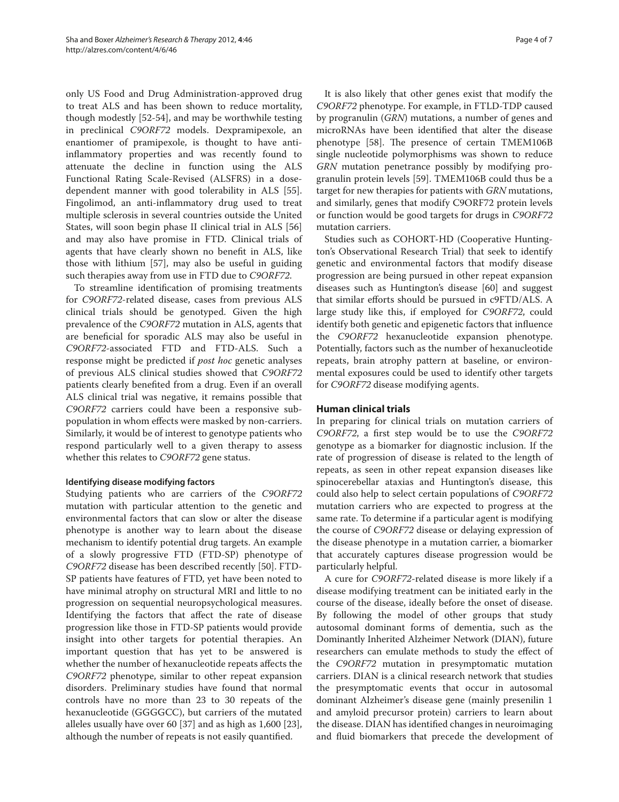only US Food and Drug Administration-approved drug to treat ALS and has been shown to reduce mortality, though modestly [52-54], and may be worthwhile testing in preclinical *C9ORF72* models. Dexpramipexole, an enantiomer of pramipexole, is thought to have antiinflammatory properties and was recently found to attenuate the decline in function using the ALS Functional Rating Scale-Revised (ALSFRS) in a dosedependent manner with good tolerability in ALS [55]. Fingolimod, an anti-inflammatory drug used to treat multiple sclerosis in several countries outside the United States, will soon begin phase II clinical trial in ALS [56] and may also have promise in FTD. Clinical trials of agents that have clearly shown no benefit in ALS, like those with lithium [57], may also be useful in guiding such therapies away from use in FTD due to *C9ORF72*.

To streamline identification of promising treatments for *C9ORF72*-related disease, cases from previous ALS clinical trials should be genotyped. Given the high prevalence of the *C9ORF72* mutation in ALS, agents that are beneficial for sporadic ALS may also be useful in *C9ORF72*-associated FTD and FTD-ALS. Such a response might be predicted if *post hoc* genetic analyses of previous ALS clinical studies showed that *C9ORF72*  patients clearly benefited from a drug. Even if an overall ALS clinical trial was negative, it remains possible that *C9ORF72* carriers could have been a responsive subpopulation in whom effects were masked by non-carriers. Similarly, it would be of interest to genotype patients who respond particularly well to a given therapy to assess whether this relates to *C9ORF72* gene status.

## **Identifying disease modifying factors**

Studying patients who are carriers of the *C9ORF72* mutation with particular attention to the genetic and environmental factors that can slow or alter the disease phenotype is another way to learn about the disease mechanism to identify potential drug targets. An example of a slowly progressive FTD (FTD-SP) phenotype of *C9ORF72* disease has been described recently [50]. FTD-SP patients have features of FTD, yet have been noted to have minimal atrophy on structural MRI and little to no progression on sequential neuropsychological measures. Identifying the factors that affect the rate of disease progression like those in FTD-SP patients would provide insight into other targets for potential therapies. An important question that has yet to be answered is whether the number of hexanucleotide repeats affects the *C9ORF72* phenotype, similar to other repeat expansion disorders. Preliminary studies have found that normal controls have no more than 23 to 30 repeats of the hexanucleotide (GGGGCC), but carriers of the mutated alleles usually have over 60 [37] and as high as 1,600 [23], although the number of repeats is not easily quantified.

It is also likely that other genes exist that modify the *C9ORF72* phenotype. For example, in FTLD-TDP caused by progranulin (*GRN*) mutations, a number of genes and microRNAs have been identified that alter the disease phenotype [58]. The presence of certain TMEM106B single nucleotide polymorphisms was shown to reduce *GRN* mutation penetrance possibly by modifying progranulin protein levels [59]. TMEM106B could thus be a target for new therapies for patients with *GRN* mutations, and similarly, genes that modify C9ORF72 protein levels or function would be good targets for drugs in *C9ORF72* mutation carriers.

Studies such as COHORT-HD (Cooperative Huntington's Observational Research Trial) that seek to identify genetic and environmental factors that modify disease progression are being pursued in other repeat expansion diseases such as Huntington's disease [60] and suggest that similar efforts should be pursued in c9FTD/ALS. A large study like this, if employed for *C9ORF72*, could identify both genetic and epigenetic factors that influence the *C9ORF72* hexanucleotide expansion phenotype. Potentially, factors such as the number of hexanucleotide repeats, brain atrophy pattern at baseline, or environmental exposures could be used to identify other targets for *C9ORF72* disease modifying agents.

## **Human clinical trials**

In preparing for clinical trials on mutation carriers of *C9ORF72*, a first step would be to use the *C9ORF72* genotype as a biomarker for diagnostic inclusion. If the rate of progression of disease is related to the length of repeats, as seen in other repeat expansion diseases like spinocerebellar ataxias and Huntington's disease, this could also help to select certain populations of *C9ORF72* mutation carriers who are expected to progress at the same rate. To determine if a particular agent is modifying the course of *C9ORF72* disease or delaying expression of the disease phenotype in a mutation carrier, a biomarker that accurately captures disease progression would be particularly helpful.

A cure for *C9ORF72*-related disease is more likely if a disease modifying treatment can be initiated early in the course of the disease, ideally before the onset of disease. By following the model of other groups that study autosomal dominant forms of dementia, such as the Dominantly Inherited Alzheimer Network (DIAN), future researchers can emulate methods to study the effect of the *C9ORF72* mutation in presymptomatic mutation carriers. DIAN is a clinical research network that studies the presymptomatic events that occur in autosomal dominant Alzheimer's disease gene (mainly presenilin 1 and amyloid precursor protein) carriers to learn about the disease. DIAN has identified changes in neuroimaging and fluid biomarkers that precede the development of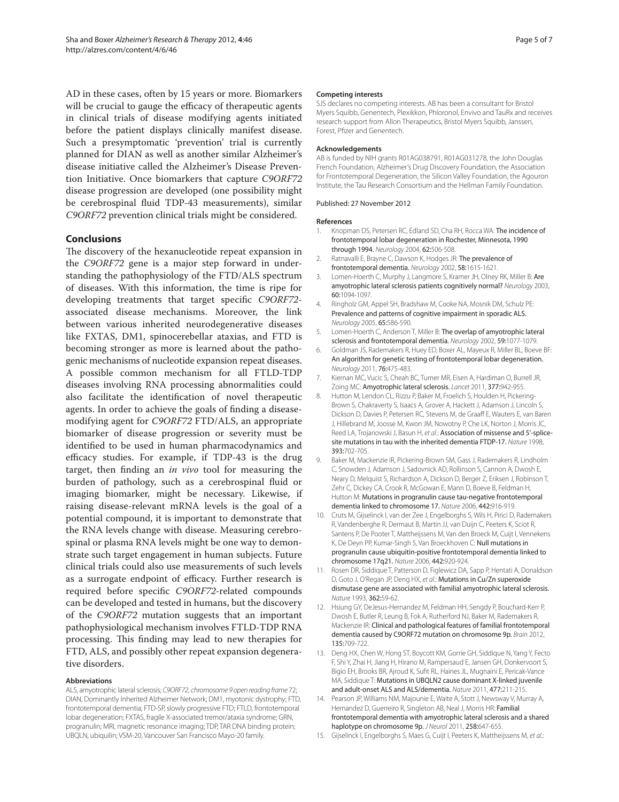AD in these cases, often by 15 years or more. Biomarkers will be crucial to gauge the efficacy of therapeutic agents in clinical trials of disease modifying agents initiated before the patient displays clinically manifest disease. Such a presymptomatic 'prevention' trial is currently planned for DIAN as well as another similar Alzheimer's disease initiative called the Alzheimer's Disease Prevention Initiative. Once biomarkers that capture *C9ORF72* disease progression are developed (one possibility might be cerebrospinal fluid TDP-43 measurements), similar *C9ORF72* prevention clinical trials might be considered.

#### **Conclusions**

The discovery of the hexanucleotide repeat expansion in the *C9ORF72* gene is a major step forward in understanding the pathophysiology of the FTD/ALS spectrum of diseases. With this information, the time is ripe for developing treatments that target specific C9ORF72associated disease mechanisms. Moreover, the link between various inherited neurodegenerative diseases like FXTAS, DM1, spinocerebellar ataxias, and FTD is becoming stronger as more is learned about the pathogenic mechanisms of nucleotide expansion repeat diseases. A possible common mechanism for all FTLD-TDP diseases involving RNA processing abnormalities could also facilitate the identification of novel therapeutic agents. In order to achieve the goals of finding a diseasemodifying agent for *C9ORF72* FTD/ALS, an appropriate biomarker of disease progression or severity must be identified to be used in human pharmacodynamics and efficacy studies. For example, if TDP-43 is the drug target, then finding an *in vivo* tool for measuring the burden of pathology, such as a cerebrospinal fluid or imaging biomarker, might be necessary. Likewise, if raising disease-relevant mRNA levels is the goal of a potential compound, it is important to demonstrate that the RNA levels change with disease. Measuring cerebrospinal or plasma RNA levels might be one way to demonstrate such target engagement in human subjects. Future clinical trials could also use measurements of such levels as a surrogate endpoint of efficacy. Further research is required before specific C9ORF72-related compounds can be developed and tested in humans, but the discovery of the *C9ORF72* mutation suggests that an important pathophysiological mechanism involves FTLD-TDP RNA processing. This finding may lead to new therapies for FTD, ALS, and possibly other repeat expansion degenerative disorders.

#### **Abbreviations**

ALS, amyotrophic lateral sclerosis; C9ORF72, chromosome 9 open reading frame 72; DIAN, Dominantly Inherited Alzheimer Network; DM1, myotonic dystrophy; FTD, frontotemporal dementia; FTD-SP, slowly progressive FTD; FTLD, frontotemporal lobar degeneration; FXTAS, fragile X-associated tremor/ataxia syndrome; GRN, progranulin; MRI, magnetic resonance imaging; TDP, TAR DNA binding protein; UBQLN, ubiquilin; VSM-20, Vancouver San Francisco Mayo-20 family.

#### **Competing interests**

SJS declares no competing interests. AB has been a consultant for Bristol Myers Squibb, Genentech, Plexikkon, Phloronol, Envivo and TauRx and receives research support from Allon Therapeutics, Bristol Myers Squibb, Janssen, Forest, Pfizer and Genentech.

#### **Acknowledgements**

AB is funded by NIH grants R01AG038791, R01AG031278, the John Douglas French Foundation, Alzheimer's Drug Discovery Foundation, the Association for Frontotemporal Degeneration, the Silicon Valley Foundation, the Agouron Institute, the Tau Research Consortium and the Hellman Family Foundation.

#### Published: 27 November 2012

#### **References**

- 1. Knopman DS, Petersen RC, Edland SD, Cha RH, Rocca WA: The incidence of frontotemporal lobar degeneration in Rochester, Minnesota, 1990 through 1994. Neurology 2004, 62:506-508.
- 2. Ratnavalli E, Brayne C, Dawson K, Hodges JR: The prevalence of frontotemporal dementia. Neurology 2002, 58:1615-1621.
- 3. Lomen-Hoerth C, Murphy J, Langmore S, Kramer JH, Olney RK, Miller B: Are amyotrophic lateral sclerosis patients cognitively normal? Neurology 2003, 60:1094-1097.
- 4. Ringholz GM, Appel SH, Bradshaw M, Cooke NA, Mosnik DM, Schulz PE: Prevalence and patterns of cognitive impairment in sporadic ALS. Neurology 2005, 65:586-590.
- 5. Lomen-Hoerth C, Anderson T, Miller B: The overlap of amyotrophic lateral sclerosis and frontotemporal dementia. Neurology 2002, 59:1077-1079.
- 6. Goldman JS, Rademakers R, Huey ED, Boxer AL, Mayeux R, Miller BL, Boeve BF: An algorithm for genetic testing of frontotemporal lobar degeneration. Neurology 2011, 76:475-483.
- 7. Kiernan MC, Vucic S, Cheah BC, Turner MR, Eisen A, Hardiman O, Burrell JR, Zoing MC: Amyotrophic lateral sclerosis. Lancet 2011, 377:942-955.
- 8. Hutton M, Lendon CL, Rizzu P, Baker M, Froelich S, Houlden H, Pickering-Brown S, Chakraverty S, Isaacs A, Grover A, Hackett J, Adamson J, Lincoln S, Dickson D, Davies P, Petersen RC, Stevens M, de Graaff E, Wauters E, van Baren J, Hillebrand M, Joosse M, Kwon JM, Nowotny P, Che LK, Norton J, Morris JC, Reed LA, Trojanowski J, Basun H, et al.: Association of missense and 5'-splicesite mutations in tau with the inherited dementia FTDP-17. Nature 1998. 393:702-705.
- 9. Baker M, Mackenzie IR, Pickering-Brown SM, Gass J, Rademakers R, Lindholm C, Snowden J, Adamson J, Sadovnick AD, Rollinson S, Cannon A, Dwosh E, Neary D, Melquist S, Richardson A, Dickson D, Berger Z, Eriksen J, Robinson T, Zehr C, Dickey CA, Crook R, McGowan E, Mann D, Boeve B, Feldman H, Hutton M: Mutations in progranulin cause tau-negative frontotemporal dementia linked to chromosome 17. Nature 2006, 442:916-919.
- 10. Cruts M, Gijselinck I, van der Zee J, Engelborghs S, Wils H, Pirici D, Rademakers R, Vandenberghe R, Dermaut B, Martin JJ, van Duijn C, Peeters K, Sciot R, Santens P, De Pooter T, Mattheijssens M, Van den Broeck M, Cuijt I, Vennekens K, De Deyn PP, Kumar-Singh S, Van Broeckhoven C: Null mutations in progranulin cause ubiquitin-positive frontotemporal dementia linked to chromosome 17q21. Nature 2006, 442:920-924.
- 11. Rosen DR, Siddique T, Patterson D, Figlewicz DA, Sapp P, Hentati A, Donaldson D, Goto J, O'Regan JP, Deng HX, et al.: Mutations in Cu/Zn superoxide dismutase gene are associated with familial amyotrophic lateral sclerosis. Nature 1993, 362:59-62.
- 12. Hsiung GY, DeJesus-Hernandez M, Feldman HH, Sengdy P, Bouchard-Kerr P, Dwosh E, Butler R, Leung B, Fok A, Rutherford NJ, Baker M, Rademakers R, Mackenzie IR: Clinical and pathological features of familial frontotemporal dementia caused by C9ORF72 mutation on chromosome 9p. Brain 2012, 135:709-722.
- 13. Deng HX, Chen W, Hong ST, Boycott KM, Gorrie GH, Siddique N, Yang Y, Fecto F, Shi Y, Zhai H, Jiang H, Hirano M, Rampersaud E, Jansen GH, Donkervoort S, Bigio EH, Brooks BR, Ajroud K, Sufit RL, Haines JL, Mugnaini E, Pericak-Vance MA, Siddique T: Mutations in UBQLN2 cause dominant X-linked juvenile and adult-onset ALS and ALS/dementia. Nature 2011, 477:211-215.
- 14. Pearson JP, Williams NM, Majounie E, Waite A, Stott J, Newsway V, Murray A, Hernandez D, Guerreiro R, Singleton AB, Neal J, Morris HR: Familial frontotemporal dementia with amyotrophic lateral sclerosis and a shared haplotype on chromosome 9p. J Neurol 2011, 258:647-655.
- 15. Gijselinck I, Engelborghs S, Maes G, Cuijt I, Peeters K, Mattheijssens M, et al.: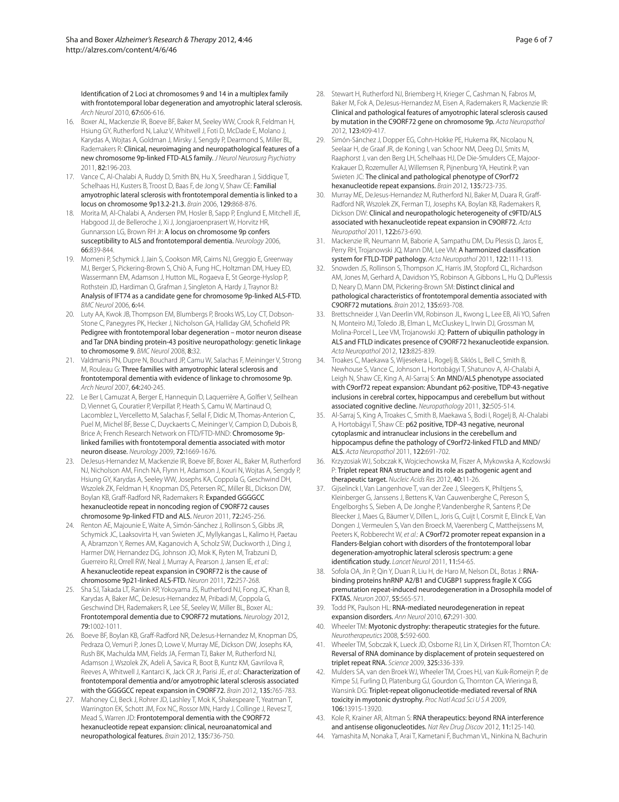Identification of 2 Loci at chromosomes 9 and 14 in a multiplex family with frontotemporal lobar degeneration and amyotrophic lateral sclerosis. Arch Neurol 2010, 67:606-616.

- 16. Boxer AL, Mackenzie IR, Boeve BF, Baker M, Seeley WW, Crook R, Feldman H, Hsiung GY, Rutherford N, Laluz V, Whitwell J, Foti D, McDade E, Molano J, Karydas A, Wojtas A, Goldman J, Mirsky J, Sengdy P, Dearmond S, Miller BL, Rademakers R: Clinical, neuroimaging and neuropathological features of a new chromosome 9p-linked FTD-ALS family. J Neurol Neurosurg Psychiatry 2011, 82:196-203.
- 17. Vance C, Al-Chalabi A, Ruddy D, Smith BN, Hu X, Sreedharan J, Siddique T, Schelhaas HJ, Kusters B, Troost D, Baas F, de Jong V, Shaw CE: Familial amyotrophic lateral sclerosis with frontotemporal dementia is linked to a locus on chromosome 9p13.2-21.3. Brain 2006, 129:868-876.
- 18. Morita M, Al-Chalabi A, Andersen PM, Hosler B, Sapp P, Englund E, Mitchell JE, Habgood JJ, de Belleroche J, Xi J, Jongjaroenprasert W, Horvitz HR, Gunnarsson LG, Brown RH Jr: A locus on chromosome 9p confers susceptibility to ALS and frontotemporal dementia. Neurology 2006, 66:839-844.
- 19. Momeni P, Schymick J, Jain S, Cookson MR, Cairns NJ, Greggio E, Greenway MJ, Berger S, Pickering-Brown S, Chiò A, Fung HC, Holtzman DM, Huey ED, Wassermann EM, Adamson J, Hutton ML, Rogaeva E, St George-Hyslop P, Rothstein JD, Hardiman O, Grafman J, Singleton A, Hardy J, Traynor BJ: Analysis of IFT74 as a candidate gene for chromosome 9p-linked ALS-FTD. BMC Neurol 2006, 6:44.
- 20. Luty AA, Kwok JB, Thompson EM, Blumbergs P, Brooks WS, Loy CT, Dobson-Stone C, Panegyres PK, Hecker J, Nicholson GA, Halliday GM, Schofield PR: Pedigree with frontotemporal lobar degeneration – motor neuron disease and Tar DNA binding protein-43 positive neuropathology: genetic linkage to chromosome 9. BMC Neurol 2008, 8:32.
- 21. Valdmanis PN, Dupre N, Bouchard JP, Camu W, Salachas F, Meininger V, Strong M, Rouleau G: Three families with amyotrophic lateral sclerosis and frontotemporal dementia with evidence of linkage to chromosome 9p. Arch Neurol 2007, 64:240-245.
- 22. Le Ber I, Camuzat A, Berger E, Hannequin D, Laquerrière A, Golfier V, Seilhean D, Viennet G, Couratier P, Verpillat P, Heath S, Camu W, Martinaud O, Lacomblez L, Vercelletto M, Salachas F, Sellal F, Didic M, Thomas-Anterion C, Puel M, Michel BF, Besse C, Duyckaerts C, Meininger V, Campion D, Dubois B, Brice A; French Research Network on FTD/FTD-MND: Chromosome 9plinked families with frontotemporal dementia associated with motor neuron disease. Neurology 2009, 72:1669-1676.
- 23. DeJesus-Hernandez M, Mackenzie IR, Boeve BF, Boxer AL, Baker M, Rutherford NJ, Nicholson AM, Finch NA, Flynn H, Adamson J, Kouri N, Wojtas A, Sengdy P, Hsiung GY, Karydas A, Seeley WW, Josephs KA, Coppola G, Geschwind DH, Wszolek ZK, Feldman H, Knopman DS, Petersen RC, Miller BL, Dickson DW, Boylan KB, Graff -Radford NR, Rademakers R: Expanded GGGGCC hexanucleotide repeat in noncoding region of C9ORF72 causes chromosome 9p-linked FTD and ALS. Neuron 2011, 72:245-256.
- 24. Renton AE, Majounie E, Waite A, Simón-Sánchez J, Rollinson S, Gibbs JR, Schymick JC, Laaksovirta H, van Swieten JC, Myllykangas L, Kalimo H, Paetau A, Abramzon Y, Remes AM, Kaganovich A, Scholz SW, Duckworth J, Ding J, Harmer DW, Hernandez DG, Johnson JO, Mok K, Ryten M, Trabzuni D, Guerreiro RJ, Orrell RW, Neal J, Murray A, Pearson J, Jansen IE, et al.: A hexanucleotide repeat expansion in C9ORF72 is the cause of chromosome 9p21-linked ALS-FTD. Neuron 2011, 72:257-268.
- 25. Sha SJ, Takada LT, Rankin KP, Yokoyama JS, Rutherford NJ, Fong JC, Khan B, Karydas A, Baker MC, DeJesus-Hernandez M, Pribadi M, Coppola G, Geschwind DH, Rademakers R, Lee SE, Seeley W, Miller BL, Boxer AL: Frontotemporal dementia due to C9ORF72 mutations. Neurology 2012, 79:1002-1011.
- 26. Boeve BF, Boylan KB, Graff -Radford NR, DeJesus-Hernandez M, Knopman DS, Pedraza O, Vemuri P, Jones D, Lowe V, Murray ME, Dickson DW, Josephs KA, Rush BK, Machulda MM, Fields JA, Ferman TJ, Baker M, Rutherford NJ, Adamson J, Wszolek ZK, Adeli A, Savica R, Boot B, Kuntz KM, Gavrilova R, Reeves A, Whitwell J, Kantarci K, Jack CR Jr, Parisi JE, et al.: Characterization of frontotemporal dementia and/or amyotrophic lateral sclerosis associated with the GGGGCC repeat expansion in C9ORF72. Brain 2012, 135:765-783.
- 27. Mahoney CJ, Beck J, Rohrer JD, Lashley T, Mok K, Shakespeare T, Yeatman T, Warrington EK, Schott JM, Fox NC, Rossor MN, Hardy J, Collinge J, Revesz T, Mead S, Warren JD: Frontotemporal dementia with the C9ORF72 hexanucleotide repeat expansion: clinical, neuroanatomical and neuropathological features. Brain 2012, 135:736-750.
- 28. Stewart H, Rutherford NJ, Briemberg H, Krieger C, Cashman N, Fabros M, Baker M, Fok A, DeJesus-Hernandez M, Eisen A, Rademakers R, Mackenzie IR: Clinical and pathological features of amyotrophic lateral sclerosis caused by mutation in the C9ORF72 gene on chromosome 9p. Acta Neuropathol 2012, 123:409-417.
- 29. Simón-Sánchez J, Dopper EG, Cohn-Hokke PE, Hukema RK, Nicolaou N, Seelaar H, de Graaf JR, de Koning I, van Schoor NM, Deeg DJ, Smits M, Raaphorst J, van den Berg LH, Schelhaas HJ, De Die-Smulders CE, Majoor-Krakauer D, Rozemuller AJ, Willemsen R, Pijnenburg YA, Heutink P, van Swieten JC: The clinical and pathological phenotype of C9orf72 hexanucleotide repeat expansions. Brain 2012, 135:723-735.
- 30. Murray ME, DeJesus-Hernandez M, Rutherford NJ, Baker M, Duara R, Graff Radford NR, Wszolek ZK, Ferman TJ, Josephs KA, Boylan KB, Rademakers R, Dickson DW: Clinical and neuropathologic heterogeneity of c9FTD/ALS associated with hexanucleotide repeat expansion in C9ORF72. Acta Neuropathol 2011, 122:673-690.
- 31. Mackenzie IR, Neumann M, Baborie A, Sampathu DM, Du Plessis D, Jaros E, Perry RH, Trojanowski JQ, Mann DM, Lee VM: A harmonized classification system for FTLD-TDP pathology. Acta Neuropathol 2011, 122:111-113.
- 32. Snowden JS, Rollinson S, Thompson JC, Harris JM, Stopford CL, Richardson AM, Jones M, Gerhard A, Davidson YS, Robinson A, Gibbons L, Hu Q, DuPlessis D, Neary D, Mann DM, Pickering-Brown SM: Distinct clinical and pathological characteristics of frontotemporal dementia associated with C9ORF72 mutations. Brain 2012, 135:693-708.
- 33. Brettschneider J, Van Deerlin VM, Robinson JL, Kwong L, Lee EB, Ali YO, Safren N, Monteiro MJ, Toledo JB, Elman L, McCluskey L, Irwin DJ, Grossman M, Molina-Porcel L, Lee VM, Trojanowski JQ: Pattern of ubiquilin pathology in ALS and FTLD indicates presence of C9ORF72 hexanucleotide expansion. Acta Neuropathol 2012, 123:825-839.
- 34. Troakes C, Maekawa S, Wijesekera L, Rogelj B, Siklós L, Bell C, Smith B, Newhouse S, Vance C, Johnson L, Hortobágyi T, Shatunov A, Al-Chalabi A, Leigh N, Shaw CE, King A, Al-Sarraj S: An MND/ALS phenotype associated with C9orf72 repeat expansion: Abundant p62-positive, TDP-43-negative inclusions in cerebral cortex, hippocampus and cerebellum but without associated cognitive decline. Neuropathology 2011, 32:505-514.
- 35. Al-Sarraj S, King A, Troakes C, Smith B, Maekawa S, Bodi I, Rogelj B, Al-Chalabi A, Hortobágyi T, Shaw CE: p62 positive, TDP-43 negative, neuronal cytoplasmic and intranuclear inclusions in the cerebellum and hippocampus define the pathology of C9orf72-linked FTLD and MND/ ALS. Acta Neuropathol 2011, 122:691-702.
- 36. Krzyzosiak WJ, Sobczak K, Wojciechowska M, Fiszer A, Mykowska A, Kozlowski P: Triplet repeat RNA structure and its role as pathogenic agent and therapeutic target. Nucleic Acids Res 2012, 40:11-26.
- 37. Gijselinck I, Van Langenhove T, van der Zee J, Sleegers K, Philtjens S, Kleinberger G, Janssens J, Bettens K, Van Cauwenberghe C, Pereson S, Engelborghs S, Sieben A, De Jonghe P, Vandenberghe R, Santens P, De Bleecker J, Maes G, Bäumer V, Dillen L, Joris G, Cuijt I, Corsmit E, Elinck E, Van Dongen J, Vermeulen S, Van den Broeck M, Vaerenberg C, Mattheijssens M, Peeters K, Robberecht W, et al.: A C9orf72 promoter repeat expansion in a Flanders-Belgian cohort with disorders of the frontotemporal lobar degeneration-amyotrophic lateral sclerosis spectrum: a gene identification study. Lancet Neurol 2011, 11:54-65.
- Sofola OA, Jin P, Qin Y, Duan R, Liu H, de Haro M, Nelson DL, Botas J: RNAbinding proteins hnRNP A2/B1 and CUGBP1 suppress fragile X CGG premutation repeat-induced neurodegeneration in a Drosophila model of FXTAS. Neuron 2007, 55:565-571.
- 39. Todd PK, Paulson HL: RNA-mediated neurodegeneration in repeat expansion disorders. Ann Neurol 2010, 67:291-300.
- 40. Wheeler TM: Myotonic dystrophy: therapeutic strategies for the future. Neurotherapeutics 2008, 5:592-600.
- 41. Wheeler TM, Sobczak K, Lueck JD, Osborne RJ, Lin X, Dirksen RT, Thornton CA: Reversal of RNA dominance by displacement of protein sequestered on triplet repeat RNA. Science 2009, 325:336-339.
- 42. Mulders SA, van den Broek WJ, Wheeler TM, Croes HJ, van Kuik-Romeijn P, de Kimpe SJ, Furling D, Platenburg GJ, Gourdon G, Thornton CA, Wieringa B, Wansink DG: Triplet-repeat oligonucleotide-mediated reversal of RNA toxicity in myotonic dystrophy. Proc Natl Acad Sci U S A 2009, 106:13915-13920.
- 43. Kole R, Krainer AR, Altman S: RNA therapeutics: beyond RNA interference and antisense oligonucleotides. Nat Rev Drug Discov 2012, 11:125-140.
- 44. Yamashita M, Nonaka T, Arai T, Kametani F, Buchman VL, Ninkina N, Bachurin